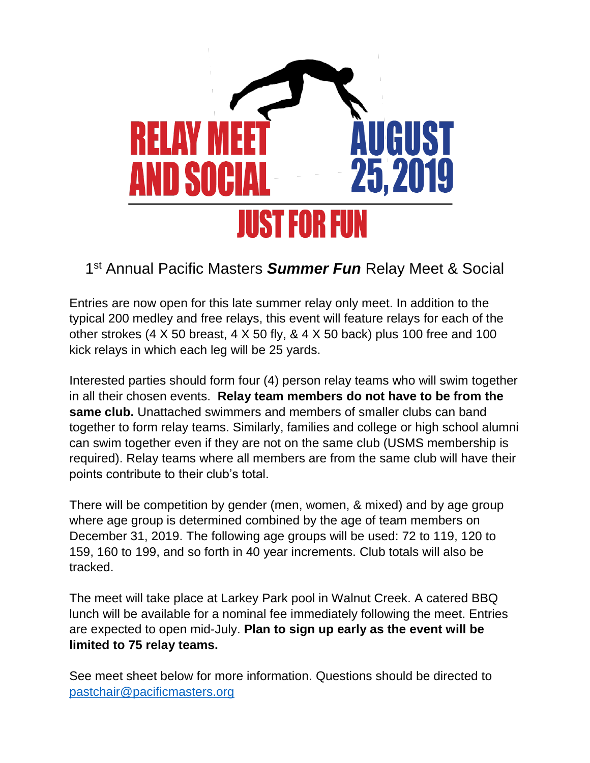

## 1 st Annual Pacific Masters *Summer Fun* Relay Meet & Social

Entries are now open for this late summer relay only meet. In addition to the typical 200 medley and free relays, this event will feature relays for each of the other strokes (4 X 50 breast, 4 X 50 fly, & 4 X 50 back) plus 100 free and 100 kick relays in which each leg will be 25 yards.

Interested parties should form four (4) person relay teams who will swim together in all their chosen events. **Relay team members do not have to be from the same club.** Unattached swimmers and members of smaller clubs can band together to form relay teams. Similarly, families and college or high school alumni can swim together even if they are not on the same club (USMS membership is required). Relay teams where all members are from the same club will have their points contribute to their club's total.

There will be competition by gender (men, women, & mixed) and by age group where age group is determined combined by the age of team members on December 31, 2019. The following age groups will be used: 72 to 119, 120 to 159, 160 to 199, and so forth in 40 year increments. Club totals will also be tracked.

The meet will take place at Larkey Park pool in Walnut Creek. A catered BBQ lunch will be available for a nominal fee immediately following the meet. Entries are expected to open mid-July. **Plan to sign up early as the event will be limited to 75 relay teams.**

See meet sheet below for more information. Questions should be directed to [pastchair@pacificmasters.org](mailto:pastchair@pacificmasters.org)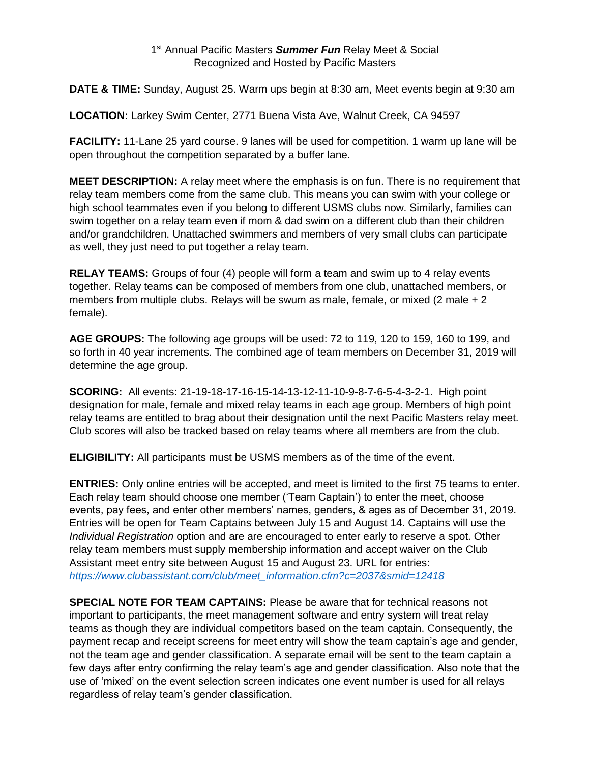**DATE & TIME:** Sunday, August 25. Warm ups begin at 8:30 am, Meet events begin at 9:30 am

**LOCATION:** Larkey Swim Center, 2771 Buena Vista Ave, Walnut Creek, CA 94597

**FACILITY:** 11-Lane 25 yard course. 9 lanes will be used for competition. 1 warm up lane will be open throughout the competition separated by a buffer lane.

**MEET DESCRIPTION:** A relay meet where the emphasis is on fun. There is no requirement that relay team members come from the same club. This means you can swim with your college or high school teammates even if you belong to different USMS clubs now. Similarly, families can swim together on a relay team even if mom & dad swim on a different club than their children and/or grandchildren. Unattached swimmers and members of very small clubs can participate as well, they just need to put together a relay team.

**RELAY TEAMS:** Groups of four (4) people will form a team and swim up to 4 relay events together. Relay teams can be composed of members from one club, unattached members, or members from multiple clubs. Relays will be swum as male, female, or mixed (2 male + 2 female).

**AGE GROUPS:** The following age groups will be used: 72 to 119, 120 to 159, 160 to 199, and so forth in 40 year increments. The combined age of team members on December 31, 2019 will determine the age group.

**SCORING:** All events: 21-19-18-17-16-15-14-13-12-11-10-9-8-7-6-5-4-3-2-1. High point designation for male, female and mixed relay teams in each age group. Members of high point relay teams are entitled to brag about their designation until the next Pacific Masters relay meet. Club scores will also be tracked based on relay teams where all members are from the club.

**ELIGIBILITY:** All participants must be USMS members as of the time of the event.

**ENTRIES:** Only online entries will be accepted, and meet is limited to the first 75 teams to enter. Each relay team should choose one member ('Team Captain') to enter the meet, choose events, pay fees, and enter other members' names, genders, & ages as of December 31, 2019. Entries will be open for Team Captains between July 15 and August 14. Captains will use the *Individual Registration* option and are are encouraged to enter early to reserve a spot. Other relay team members must supply membership information and accept waiver on the Club Assistant meet entry site between August 15 and August 23. URL for entries: *[https://www.clubassistant.com/club/meet\\_information.cfm?c=2037&smid=12418](https://www.clubassistant.com/club/meet_information.cfm?c=2037&smid=12418)*

**SPECIAL NOTE FOR TEAM CAPTAINS:** Please be aware that for technical reasons not important to participants, the meet management software and entry system will treat relay teams as though they are individual competitors based on the team captain. Consequently, the payment recap and receipt screens for meet entry will show the team captain's age and gender, not the team age and gender classification. A separate email will be sent to the team captain a few days after entry confirming the relay team's age and gender classification. Also note that the use of 'mixed' on the event selection screen indicates one event number is used for all relays regardless of relay team's gender classification.